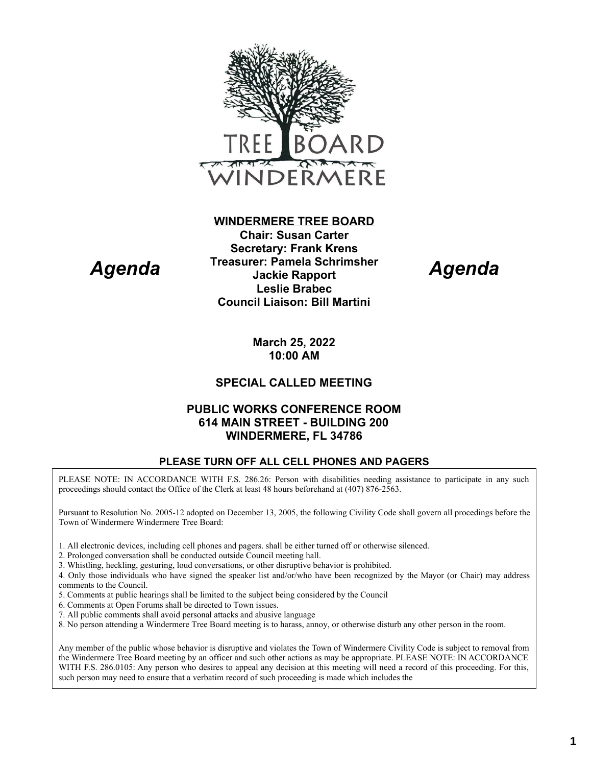

## **Chair: Susan Carter Secretary: Frank Krens Treasurer: Pamela Schrimsher Jackie Rapport Leslie Brabec Council Liaison: Bill Martini**

**WINDERMERE TREE BOARD**

*Agenda*

**March 25, 2022 10:00 AM**

## **SPECIAL CALLED MEETING**

### **PUBLIC WORKS CONFERENCE ROOM 614 MAIN STREET - BUILDING 200 WINDERMERE, FL 34786**

#### **PLEASE TURN OFF ALL CELL PHONES AND PAGERS**

PLEASE NOTE: IN ACCORDANCE WITH F.S. 286.26: Person with disabilities needing assistance to participate in any such proceedings should contact the Office of the Clerk at least 48 hours beforehand at (407) 876-2563.

Pursuant to Resolution No. 2005-12 adopted on December 13, 2005, the following Civility Code shall govern all procedings before the Town of Windermere Windermere Tree Board:

- 1. All electronic devices, including cell phones and pagers. shall be either turned off or otherwise silenced.
- 2. Prolonged conversation shall be conducted outside Council meeting hall.
- 3. Whistling, heckling, gesturing, loud conversations, or other disruptive behavior is prohibited.
- 4. Only those individuals who have signed the speaker list and/or/who have been recognized by the Mayor (or Chair) may address comments to the Council.
- 5. Comments at public hearings shall be limited to the subject being considered by the Council
- 6. Comments at Open Forums shall be directed to Town issues.

*Agenda*

- 7. All public comments shall avoid personal attacks and abusive language
- 8. No person attending a Windermere Tree Board meeting is to harass, annoy, or otherwise disturb any other person in the room.

Any member of the public whose behavior is disruptive and violates the Town of Windermere Civility Code is subject to removal from the Windermere Tree Board meeting by an officer and such other actions as may be appropriate. PLEASE NOTE: IN ACCORDANCE WITH F.S. 286.0105: Any person who desires to appeal any decision at this meeting will need a record of this proceeding. For this, such person may need to ensure that a verbatim record of such proceeding is made which includes the